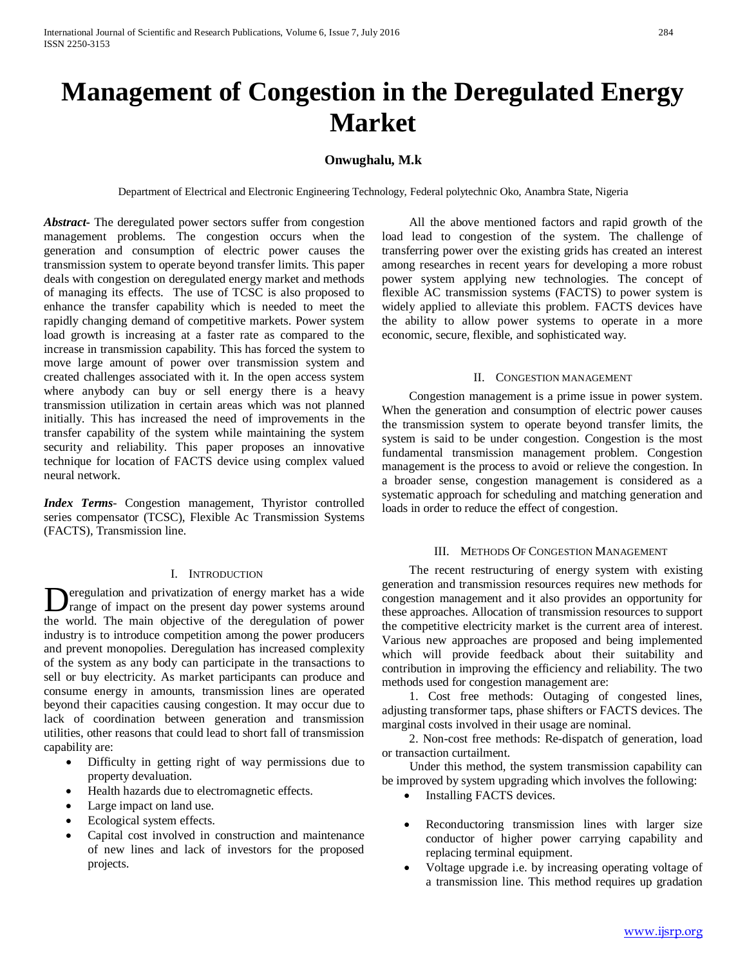# **Management of Congestion in the Deregulated Energy Market**

# **Onwughalu, M.k**

Department of Electrical and Electronic Engineering Technology, Federal polytechnic Oko, Anambra State, Nigeria

*Abstract***-** The deregulated power sectors suffer from congestion management problems. The congestion occurs when the generation and consumption of electric power causes the transmission system to operate beyond transfer limits. This paper deals with congestion on deregulated energy market and methods of managing its effects. The use of TCSC is also proposed to enhance the transfer capability which is needed to meet the rapidly changing demand of competitive markets. Power system load growth is increasing at a faster rate as compared to the increase in transmission capability. This has forced the system to move large amount of power over transmission system and created challenges associated with it. In the open access system where anybody can buy or sell energy there is a heavy transmission utilization in certain areas which was not planned initially. This has increased the need of improvements in the transfer capability of the system while maintaining the system security and reliability. This paper proposes an innovative technique for location of FACTS device using complex valued neural network.

*Index Terms*- Congestion management, Thyristor controlled series compensator (TCSC), Flexible Ac Transmission Systems (FACTS), Transmission line.

## I. INTRODUCTION

eregulation and privatization of energy market has a wide range of impact on the present day power systems around **D**eregulation and privatization of energy market has a wide range of impact on the present day power systems around the world. The main objective of the deregulation of power industry is to introduce competition among the power producers and prevent monopolies. Deregulation has increased complexity of the system as any body can participate in the transactions to sell or buy electricity. As market participants can produce and consume energy in amounts, transmission lines are operated beyond their capacities causing congestion. It may occur due to lack of coordination between generation and transmission utilities, other reasons that could lead to short fall of transmission capability are:

- Difficulty in getting right of way permissions due to property devaluation.
- Health hazards due to electromagnetic effects.
- Large impact on land use.
- Ecological system effects.
- Capital cost involved in construction and maintenance of new lines and lack of investors for the proposed projects.

 All the above mentioned factors and rapid growth of the load lead to congestion of the system. The challenge of transferring power over the existing grids has created an interest among researches in recent years for developing a more robust power system applying new technologies. The concept of flexible AC transmission systems (FACTS) to power system is widely applied to alleviate this problem. FACTS devices have the ability to allow power systems to operate in a more economic, secure, flexible, and sophisticated way.

### II. CONGESTION MANAGEMENT

 Congestion management is a prime issue in power system. When the generation and consumption of electric power causes the transmission system to operate beyond transfer limits, the system is said to be under congestion. Congestion is the most fundamental transmission management problem. Congestion management is the process to avoid or relieve the congestion. In a broader sense, congestion management is considered as a systematic approach for scheduling and matching generation and loads in order to reduce the effect of congestion.

## III. METHODS OF CONGESTION MANAGEMENT

 The recent restructuring of energy system with existing generation and transmission resources requires new methods for congestion management and it also provides an opportunity for these approaches. Allocation of transmission resources to support the competitive electricity market is the current area of interest. Various new approaches are proposed and being implemented which will provide feedback about their suitability and contribution in improving the efficiency and reliability. The two methods used for congestion management are:

 1. Cost free methods: Outaging of congested lines, adjusting transformer taps, phase shifters or FACTS devices. The marginal costs involved in their usage are nominal.

 2. Non-cost free methods: Re-dispatch of generation, load or transaction curtailment.

 Under this method, the system transmission capability can be improved by system upgrading which involves the following:

- Installing FACTS devices.
- Reconductoring transmission lines with larger size conductor of higher power carrying capability and replacing terminal equipment.
- Voltage upgrade i.e. by increasing operating voltage of a transmission line. This method requires up gradation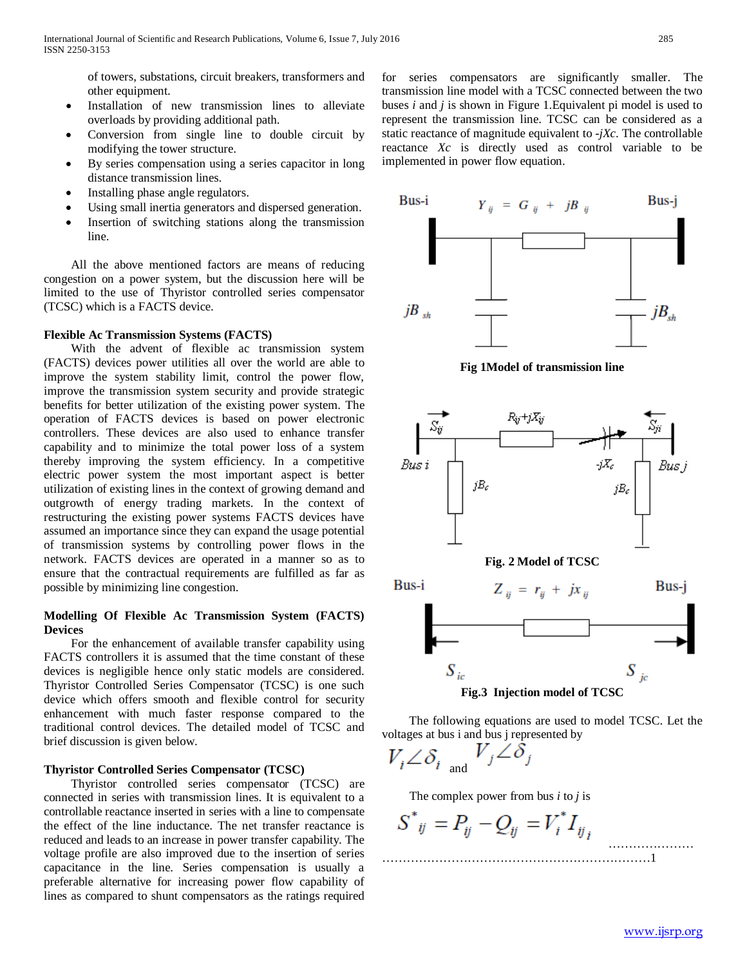of towers, substations, circuit breakers, transformers and other equipment.

- Installation of new transmission lines to alleviate overloads by providing additional path.
- Conversion from single line to double circuit by modifying the tower structure.
- By series compensation using a series capacitor in long distance transmission lines.
- Installing phase angle regulators.
- Using small inertia generators and dispersed generation.
- Insertion of switching stations along the transmission line.

 All the above mentioned factors are means of reducing congestion on a power system, but the discussion here will be limited to the use of Thyristor controlled series compensator (TCSC) which is a FACTS device.

## **Flexible Ac Transmission Systems (FACTS)**

 With the advent of flexible ac transmission system (FACTS) devices power utilities all over the world are able to improve the system stability limit, control the power flow, improve the transmission system security and provide strategic benefits for better utilization of the existing power system. The operation of FACTS devices is based on power electronic controllers. These devices are also used to enhance transfer capability and to minimize the total power loss of a system thereby improving the system efficiency. In a competitive electric power system the most important aspect is better utilization of existing lines in the context of growing demand and outgrowth of energy trading markets. In the context of restructuring the existing power systems FACTS devices have assumed an importance since they can expand the usage potential of transmission systems by controlling power flows in the network. FACTS devices are operated in a manner so as to ensure that the contractual requirements are fulfilled as far as possible by minimizing line congestion.

## **Modelling Of Flexible Ac Transmission System (FACTS) Devices**

 For the enhancement of available transfer capability using FACTS controllers it is assumed that the time constant of these devices is negligible hence only static models are considered. Thyristor Controlled Series Compensator (TCSC) is one such device which offers smooth and flexible control for security enhancement with much faster response compared to the traditional control devices. The detailed model of TCSC and brief discussion is given below.

### **Thyristor Controlled Series Compensator (TCSC)**

 Thyristor controlled series compensator (TCSC) are connected in series with transmission lines. It is equivalent to a controllable reactance inserted in series with a line to compensate the effect of the line inductance. The net transfer reactance is reduced and leads to an increase in power transfer capability. The voltage profile are also improved due to the insertion of series capacitance in the line. Series compensation is usually a preferable alternative for increasing power flow capability of lines as compared to shunt compensators as the ratings required for series compensators are significantly smaller. The transmission line model with a TCSC connected between the two buses *i* and *j* is shown in Figure 1.Equivalent pi model is used to represent the transmission line. TCSC can be considered as a static reactance of magnitude equivalent to *-jXc*. The controllable reactance *Xc* is directly used as control variable to be implemented in power flow equation.



 The following equations are used to model TCSC. Let the voltages at bus i and bus j represented by

$$
V_i \angle \delta_i \Big|_{\text{and}} V_j \angle \delta_j
$$

The complex power from bus *i* to *j* is

$$
S^*_{ij} = P_{ij} - Q_{ij} = V_i^* I_{ij}
$$

…………………………………………………………1

…………………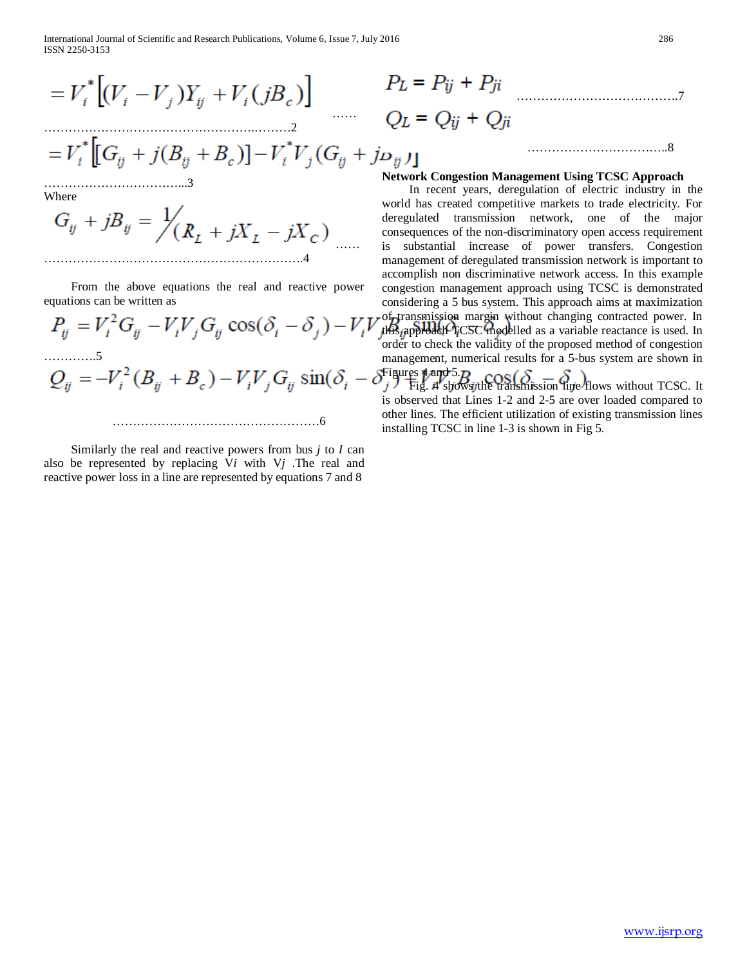International Journal of Scientific and Research Publications, Volume 6, Issue 7, July 2016 286 ISSN 2250-3153

$$
=V_i^*[(V_i - V_j)Y_{ij} + V_i(jB_c)]
$$
  
\n
$$
=V_i^*[(G_{ij} + j(B_{ij} + B_c)] - V_i^*V_j(G_{ij} + jD_{ij})]
$$
  
\n
$$
=V_i^*[(G_{ij} + j(B_{ij} + B_c)] - V_i^*V_j(G_{ij} + jD_{ij})]
$$
  
\n
$$
=V_i^*[(B_{ij} + jB_{ij} + jB_{ij}) - V_i^*V_j(G_{ij} + jD_{ij})]
$$
  
\n
$$
=V_i^*[(B_{ij} + jB_{ij} + jB_{ij}) - V_i^*V_j(G_{ij} + jD_{ij})]
$$
  
\n
$$
=V_i^*[(B_{ij} + jB_{ij} + jB_{ij}) - V_i^*V_j(G_{ij} + jD_{ij})]
$$
  
\n
$$
=V_i^*[(B_{ij} + jB_{ij} + jB_{ij}) - V_i^*V_j(G_{ij} + jD_{ij})]
$$
  
\n
$$
=V_i^*[(B_{ij} + jB_{ij} + jB_{ij}) - V_i^*V_j(G_{ij} + jD_{ij})]
$$
  
\n
$$
=V_i^*[(B_{ij} + jB_{ij} + jB_{ij}) - V_i^*V_j(G_{ij} + jD_{ij})]
$$
  
\n
$$
=V_i^*[(B_{ij} + jB_{ij} + jB_{ij}) - V_i^*V_j(G_{ij} + jD_{ij})]
$$
  
\n
$$
=V_i^*[(B_{ij} + jB_{ij}) - V_i^*V_j(G_{ij} + jD_{ij})]
$$
  
\n
$$
=V_i^*[(B_{ij} + jB_{ij}) - V_i^*V_j(G_{ij} + jD_{ij})]
$$
  
\n
$$
=V_i^*[(B_{ij} + jB_{ij}) - V_i^*V_j(G_{ij} + jD_{ij})]
$$
  
\n
$$
=V_i^*[(B_{ij} + jB_{ij}) - V_i^*V_j(G_{ij} + jD_{ij})]
$$
  
\n
$$
=V_i^*[(B_{ij} + jB_{ij}) - V_i^*V_j(G_{ij} + jD_{ij})]
$$
  
\n
$$
=V_i^*[(B_{ij} + jB_{ij}) - V_i^*V_j(G_{ij} + jD_{ij})]
$$
  
\n<math display="block</math>

 From the above equations the real and reactive power equations can be written as

$$
P_{ij} = V_i^2 G_{ij} - V_i V_j G_{ij} \cos(\delta_i - \delta_j) - V_i V
$$
  
...  

$$
Q_{ij} = -V_i^2 (B_{ij} + B_c) - V_i V_j G_{ij} \sin(\delta_i - \delta_j)
$$
  
...

 Similarly the real and reactive powers from bus *j* to *I* can also be represented by replacing V*i* with V*j .*The real and reactive power loss in a line are represented by equations 7 and 8

$$
P_L = P_{ij} + P_{ji}
$$
  

$$
Q_L = Q_{ij} + Q_{ji}
$$

#### **Network Congestion Management Using TCSC Approach**

 In recent years, deregulation of electric industry in the orld has created competitive markets to trade electricity. For regulated transmission network, one of the major nsequences of the non-discriminatory open access requirement substantial increase of power transfers. Congestion management of deregulated transmission network is important to complish non discriminative network access. In this example congestion management approach using TCSC is demonstrated considering a 5 bus system. This approach aims at maximization of transmission margin without changing contracted power. In  $t$ this approach  $P$ <sub>FCSC</sub> modelled as a variable reactance is used. In order to check the validity of the proposed method of congestion management, numerical results for a 5-bus system are shown in

Figures **‡and 5**.  $j$  Fig. 4 shows the transmission line flows without TCSC. It is observed that Lines 1-2 and 2-5 are over loaded compared to other lines. The efficient utilization of existing transmission lines installing TCSC in line 1-3 is shown in Fig 5.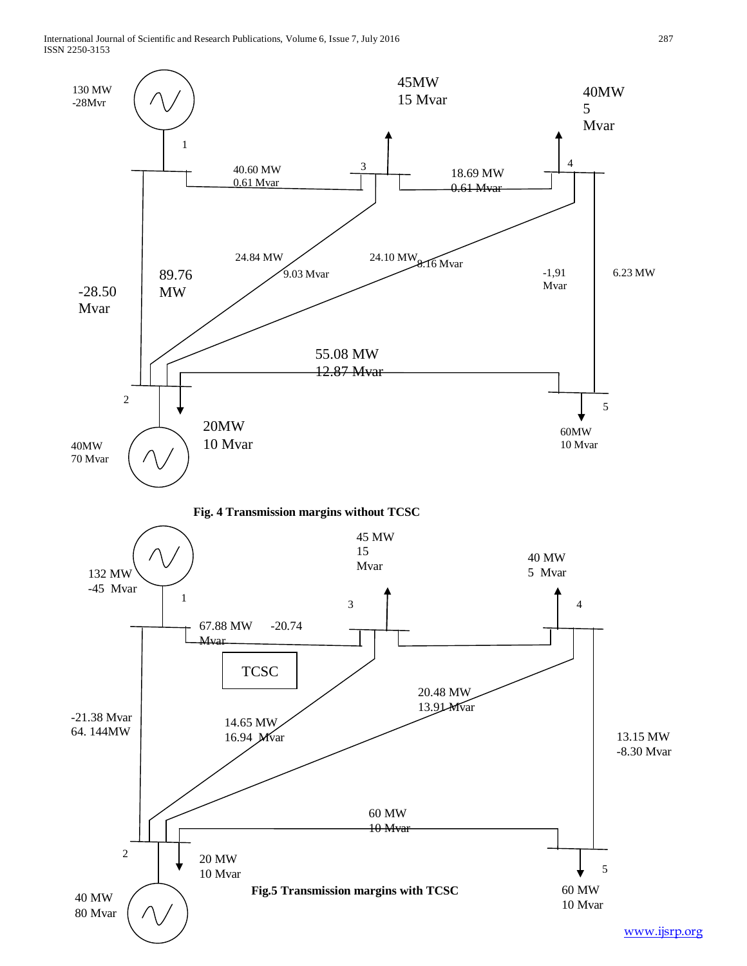International Journal of Scientific and Research Publications, Volume 6, Issue 7, July 2016 287 ISSN 2250-3153



[www.ijsrp.org](http://ijsrp.org/)